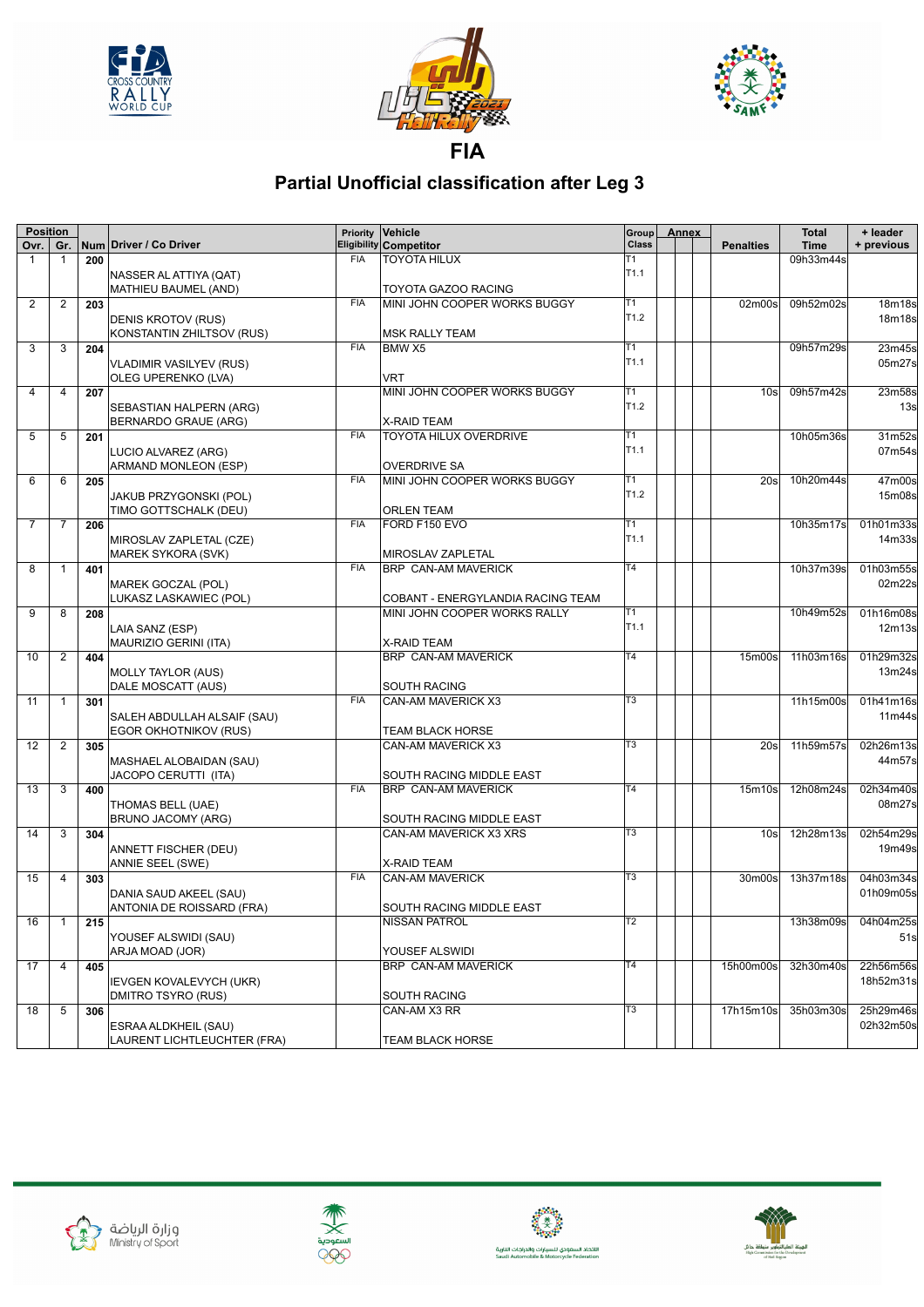





**FIA**

## **Partial Unofficial classification after Leg 3**

|                | <b>Position</b> |     |                                |            | Priority Vehicle                  | Group            | <b>Annex</b> |                                 | <b>Total</b> | + leader            |
|----------------|-----------------|-----|--------------------------------|------------|-----------------------------------|------------------|--------------|---------------------------------|--------------|---------------------|
| Ovr.           | Gr.             |     | Num Driver / Co Driver         |            | <b>Eligibility Competitor</b>     | <b>Class</b>     |              | <b>Penalties</b>                | <b>Time</b>  | + previous          |
| 1              | 1               | 200 |                                | <b>FIA</b> | <b>TOYOTA HILUX</b>               | T1               |              |                                 | 09h33m44s    |                     |
|                |                 |     | NASSER AL ATTIYA (QAT)         |            |                                   | T <sub>1.1</sub> |              |                                 |              |                     |
|                |                 |     | MATHIEU BAUMEL (AND)           |            | TOYOTA GAZOO RACING               |                  |              |                                 |              |                     |
| $\overline{2}$ | $\overline{2}$  | 203 |                                | <b>FIA</b> | MINI JOHN COOPER WORKS BUGGY      | T1               |              | 02m00s                          | 09h52m02s    | 18m18s              |
|                |                 |     | DENIS KROTOV (RUS)             |            |                                   | T <sub>1.2</sub> |              |                                 |              | 18m18s              |
|                |                 |     | KONSTANTIN ZHILTSOV (RUS)      |            | <b>MSK RALLY TEAM</b>             |                  |              |                                 |              |                     |
| 3              | 3               | 204 |                                | <b>FIA</b> | BMW X5                            | T1               |              |                                 | 09h57m29s    | 23m45s              |
|                |                 |     | <b>VLADIMIR VASILYEV (RUS)</b> |            |                                   | T <sub>1.1</sub> |              |                                 |              | 05m27s              |
|                |                 |     | OLEG UPERENKO (LVA)            |            | <b>VRT</b>                        |                  |              |                                 |              |                     |
| 4              | $\overline{4}$  | 207 |                                |            | MINI JOHN COOPER WORKS BUGGY      | T1               |              | 10 <sub>s</sub>                 | 09h57m42s    | 23m58s              |
|                |                 |     | SEBASTIAN HALPERN (ARG)        |            |                                   | T <sub>1.2</sub> |              |                                 |              | 13s                 |
|                |                 |     | <b>BERNARDO GRAUE (ARG)</b>    |            | X-RAID TEAM                       |                  |              |                                 |              |                     |
| 5              | 5               | 201 |                                | <b>FIA</b> | <b>TOYOTA HILUX OVERDRIVE</b>     | Τ1               |              |                                 | 10h05m36s    | 31m52s              |
|                |                 |     | LUCIO ALVAREZ (ARG)            |            |                                   | T <sub>1.1</sub> |              |                                 |              | 07m54s              |
|                |                 |     | ARMAND MONLEON (ESP)           |            | <b>OVERDRIVE SA</b>               |                  |              |                                 |              |                     |
| 6              | 6               | 205 |                                | <b>FIA</b> | MINI JOHN COOPER WORKS BUGGY      | T1               |              | 20s                             | 10h20m44s    | 47m00s              |
|                |                 |     | JAKUB PRZYGONSKI (POL)         |            |                                   | T <sub>1.2</sub> |              |                                 |              | 15m08s              |
|                |                 |     | TIMO GOTTSCHALK (DEU)          |            | <b>ORLEN TEAM</b>                 |                  |              |                                 |              |                     |
| $\overline{7}$ | 7               | 206 |                                | <b>FIA</b> | FORD F150 EVO                     | T1               |              |                                 | 10h35m17s    | 01h01m33s           |
|                |                 |     | MIROSLAV ZAPLETAL (CZE)        |            |                                   | T <sub>1.1</sub> |              |                                 |              | 14m33s              |
|                |                 |     | MAREK SYKORA (SVK)             |            | MIROSLAV ZAPLETAL                 |                  |              |                                 |              |                     |
| 8              | $\mathbf{1}$    | 401 |                                | <b>FIA</b> | <b>BRP CAN-AM MAVERICK</b>        | $\overline{14}$  |              |                                 | 10h37m39s    | 01h03m55s           |
|                |                 |     | MAREK GOCZAL (POL)             |            |                                   |                  |              |                                 |              | 02m22s              |
|                |                 |     | LUKASZ LASKAWIEC (POL)         |            | COBANT - ENERGYLANDIA RACING TEAM |                  |              |                                 |              |                     |
| 9              | 8               | 208 |                                |            | MINI JOHN COOPER WORKS RALLY      | T1               |              |                                 | 10h49m52s    | 01h16m08s           |
|                |                 |     | LAIA SANZ (ESP)                |            |                                   | T <sub>1.1</sub> |              |                                 |              | 12m13s              |
|                |                 |     | MAURIZIO GERINI (ITA)          |            | X-RAID TEAM                       |                  |              |                                 |              |                     |
| 10             | 2               | 404 |                                |            | <b>BRP CAN-AM MAVERICK</b>        | T <sub>4</sub>   |              | 15m00s                          | 11h03m16s    | 01h29m32s           |
|                |                 |     | <b>MOLLY TAYLOR (AUS)</b>      |            |                                   |                  |              |                                 |              | 13m24s              |
|                |                 |     | DALE MOSCATT (AUS)             |            | SOUTH RACING                      |                  |              |                                 |              |                     |
| 11             | -1              | 301 |                                | <b>FIA</b> | CAN-AM MAVERICK X3                | T3               |              |                                 | 11h15m00s    | 01h41m16s           |
|                |                 |     | SALEH ABDULLAH ALSAIF (SAU)    |            |                                   |                  |              |                                 |              | 11m44s              |
|                |                 |     | EGOR OKHOTNIKOV (RUS)          |            | <b>TEAM BLACK HORSE</b>           |                  |              |                                 |              |                     |
| 12             | $\overline{c}$  | 305 |                                |            | CAN-AM MAVERICK X3                | T <sub>3</sub>   |              | 20s                             | 11h59m57s    | 02h26m13s           |
|                |                 |     | MASHAEL ALOBAIDAN (SAU)        |            |                                   |                  |              |                                 |              | 44m57s              |
|                |                 |     | JACOPO CERUTTI (ITA)           |            | SOUTH RACING MIDDLE EAST          |                  |              |                                 |              |                     |
| 13             | 3               | 400 |                                | <b>FIA</b> | <b>BRP CAN-AM MAVERICK</b>        | T <sub>4</sub>   |              | 15 <sub>m</sub> 10 <sub>s</sub> | 12h08m24s    | 02h34m40s           |
|                |                 |     | THOMAS BELL (UAE)              |            |                                   |                  |              |                                 |              | 08m27s              |
|                |                 |     | BRUNO JACOMY (ARG)             |            | SOUTH RACING MIDDLE EAST          |                  |              |                                 |              |                     |
| 14             | 3               | 304 |                                |            | CAN-AM MAVERICK X3 XRS            | T <sub>3</sub>   |              | 10 <sub>s</sub>                 | 12h28m13s    | 02h54m29s           |
|                |                 |     | ANNETT FISCHER (DEU)           |            |                                   |                  |              |                                 |              | 19m49s              |
|                |                 |     | ANNIE SEEL (SWE)               |            | <b>X-RAID TEAM</b>                |                  |              |                                 |              |                     |
| 15             | 4               | 303 |                                | <b>FIA</b> | <b>CAN-AM MAVERICK</b>            | T <sub>3</sub>   |              | 30m00s                          | 13h37m18s    | 04h03m34s           |
|                |                 |     | DANIA SAUD AKEEL (SAU)         |            |                                   |                  |              |                                 |              | 01h09m05s           |
|                |                 |     | ANTONIA DE ROISSARD (FRA)      |            | SOUTH RACING MIDDLE EAST          |                  |              |                                 |              |                     |
| 16             | $\vert$ 1       | 215 |                                |            | <b>NISSAN PATROL</b>              | $\overline{12}$  |              |                                 |              | 13h38m09s 04h04m25s |
|                |                 |     | YOUSEF ALSWIDI (SAU)           |            |                                   |                  |              |                                 |              | 51s                 |
|                |                 |     | ARJA MOAD (JOR)                |            | YOUSEF ALSWIDI                    |                  |              |                                 |              |                     |
| 17             | 4               | 405 |                                |            | BRP CAN-AM MAVERICK               | $\overline{14}$  |              | 15h00m00s                       | 32h30m40s    | 22h56m56s           |
|                |                 |     | <b>IEVGEN KOVALEVYCH (UKR)</b> |            |                                   |                  |              |                                 |              | 18h52m31s           |
|                |                 |     | DMITRO TSYRO (RUS)             |            | <b>SOUTH RACING</b>               |                  |              |                                 |              |                     |
| 18             | 5               | 306 |                                |            | CAN-AM X3 RR                      | T3               |              | 17h15m10s                       | 35h03m30s    | 25h29m46s           |
|                |                 |     | ESRAA ALDKHEIL (SAU)           |            |                                   |                  |              |                                 |              | 02h32m50s           |
|                |                 |     | LAURENT LICHTLEUCHTER (FRA)    |            | TEAM BLACK HORSE                  |                  |              |                                 |              |                     |